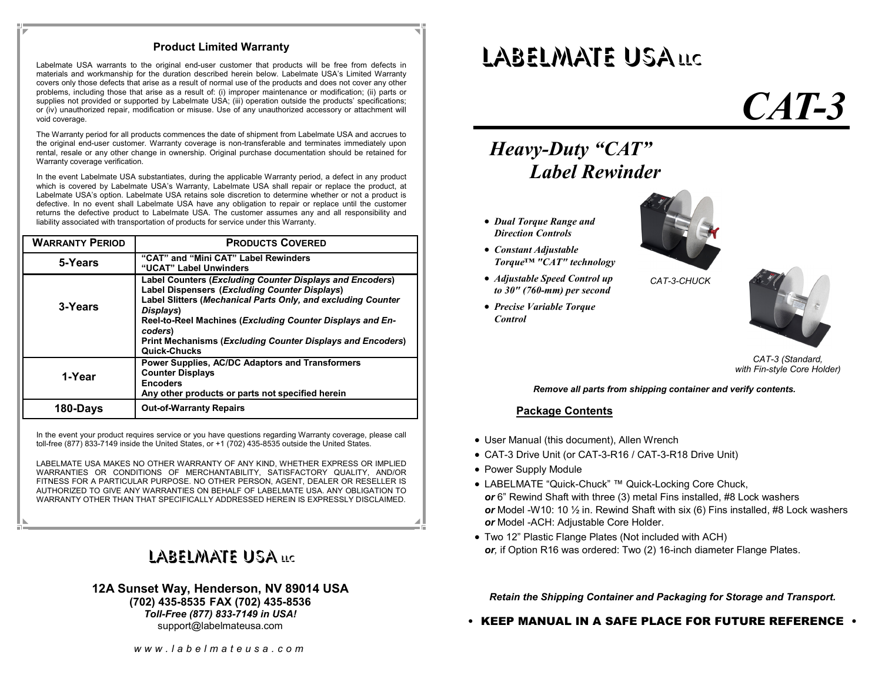#### **Product Limited Warranty**

Labelmate USA warrants to the original end-user customer that products will be free from defects in materials and workmanship for the duration described herein below. Labelmate USA's Limited Warranty covers only those defects that arise as a result of normal use of the products and does not cover any other problems, including those that arise as a result of: (i) improper maintenance or modification; (ii) parts or supplies not provided or supported by Labelmate USA; (iii) operation outside the products' specifications; or (iv) unauthorized repair, modification or misuse. Use of any unauthorized accessory or attachment will void coverage.

The Warranty period for all products commences the date of shipment from Labelmate USA and accrues to the original end-user customer. Warranty coverage is non-transferable and terminates immediately upon rental, resale or any other change in ownership. Original purchase documentation should be retained for Warranty coverage verification.

In the event Labelmate USA substantiates, during the applicable Warranty period, a defect in any product which is covered by Labelmate USA's Warranty, Labelmate USA shall repair or replace the product, at Labelmate USA's option. Labelmate USA retains sole discretion to determine whether or not a product is defective. In no event shall Labelmate USA have any obligation to repair or replace until the customer returns the defective product to Labelmate USA. The customer assumes any and all responsibility and liability associated with transportation of products for service under this Warranty.

| <b>WARRANTY PERIOD</b> | <b>PRODUCTS COVERED</b>                                                                                                                                                                                                                                                                                                                                    |
|------------------------|------------------------------------------------------------------------------------------------------------------------------------------------------------------------------------------------------------------------------------------------------------------------------------------------------------------------------------------------------------|
| 5-Years                | "CAT" and "Mini CAT" Label Rewinders<br>"UCAT" Label Unwinders                                                                                                                                                                                                                                                                                             |
| 3-Years                | <b>Label Counters (Excluding Counter Displays and Encoders)</b><br>Label Dispensers (Excluding Counter Displays)<br>Label Slitters (Mechanical Parts Only, and excluding Counter<br>Displays)<br>Reel-to-Reel Machines (Excluding Counter Displays and En-<br>coders)<br><b>Print Mechanisms (Excluding Counter Displays and Encoders)</b><br>Quick-Chucks |
| 1-Year                 | <b>Power Supplies, AC/DC Adaptors and Transformers</b><br><b>Counter Displays</b><br><b>Encoders</b><br>Any other products or parts not specified herein                                                                                                                                                                                                   |
| 180-Days               | <b>Out-of-Warranty Repairs</b>                                                                                                                                                                                                                                                                                                                             |

In the event your product requires service or you have questions regarding Warranty coverage, please call toll-free (877) 833-7149 inside the United States, or +1 (702) 435-8535 outside the United States.

LABELMATE USA MAKES NO OTHER WARRANTY OF ANY KIND, WHETHER EXPRESS OR IMPLIED WARRANTIES OR CONDITIONS OF MERCHANTABILITY, SATISFACTORY QUALITY, AND/OR FITNESS FOR A PARTICULAR PURPOSE. NO OTHER PERSON, AGENT, DEALER OR RESELLER IS AUTHORIZED TO GIVE ANY WARRANTIES ON BEHALF OF LABELMATE USA. ANY OBLIGATION TO WARRANTY OTHER THAN THAT SPECIFICALLY ADDRESSED HEREIN IS EXPRESSLY DISCLAIMED.

## LABELMATE USA <mark>llc</mark>

#### **12A Sunset Way, Henderson, NV 89014 USA (702) 435-8535 FAX (702) 435-8536** *Toll-Free (877) 833-7149 in USA!*

support@labelmateusa.com

# LABELMATE USALLC

# *CAT-3*

### *Heavy-Duty "CAT" Label Rewinder*

- *Dual Torque Range and Direction Controls*
- *Constant Adjustable Torque™ "CAT" technology*
- *Adjustable Speed Control up to 30" (760-mm) per second*
- *Precise Variable Torque Control*



*CAT-3-CHUCK* 



*CAT-3 (Standard, with Fin-style Core Holder)* 

#### *Remove all parts from shipping container and verify contents.*

#### **Package Contents**

- User Manual (this document), Allen Wrench
- CAT-3 Drive Unit (or CAT-3-R16 / CAT-3-R18 Drive Unit)
- Power Supply Module
- LABELMATE "Quick-Chuck" ™ Quick-Locking Core Chuck,*or* 6" Rewind Shaft with three (3) metal Fins installed, #8 Lock washers *or* Model -W10: 10 ½ in. Rewind Shaft with six (6) Fins installed, #8 Lock washers *or* Model -ACH: Adjustable Core Holder.
- Two 12" Plastic Flange Plates (Not included with ACH) *or,* if Option R16 was ordered: Two (2) 16-inch diameter Flange Plates.

*Retain the Shipping Container and Packaging for Storage and Transport.* 

• KEEP MANUAL IN A SAFE PLACE FOR FUTURE REFERENCE •